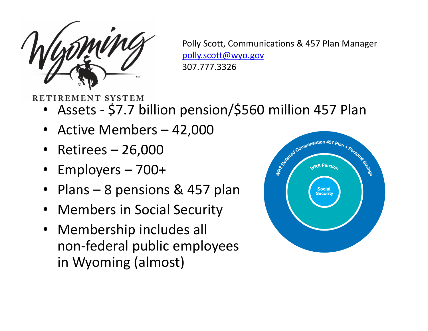

Polly Scott, Communications & 457 Plan Manager polly.scott@wyo.gov 307.777.3326

# RETIREMENT SYSTEM

- Assets \$7.7 billion pension/\$560 million 457 Plan
- Active Members 42,000
- Retirees 26,000
- Employers 700+
- Plans 8 pensions & 457 plan
- Members in Social Security
- Membership includes all non-federal public employees in Wyoming (almost)

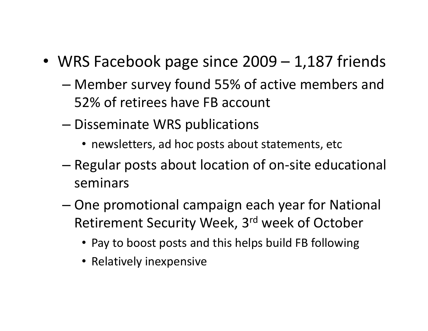- WRS Facebook page since 2009 1,187 friends
	- Member survey found 55% of active members and 52% of retirees have FB account
	- Disseminate WRS publications
		- newsletters, ad hoc posts about statements, etc
	- Regular posts about location of on-site educational seminars
	- One promotional campaign each year for National Retirement Security Week, 3rd week of October
		- Pay to boost posts and this helps build FB following
		- Relatively inexpensive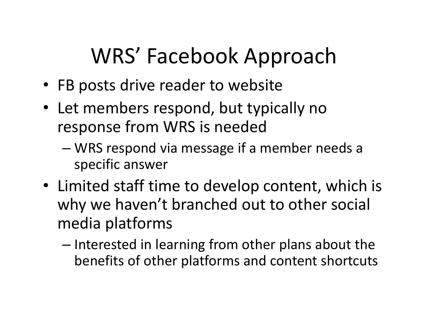# WRS' Facebook Approach

- FB posts drive reader to website
- Let members respond, but typically no response from WRS is needed
	- WRS respond via message if a member needs a specific answer
- Limited staff time to develop content, which is why we haven't branched out to other social media platforms
	- Interested in learning from other plans about the benefits of other platforms and content shortcuts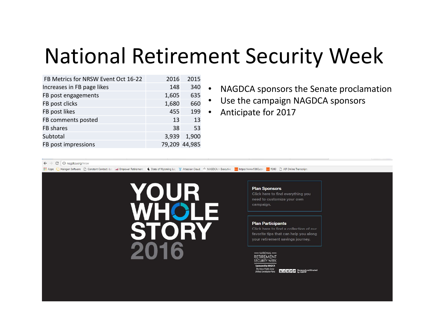# National Retirement Security Week

| FB Metrics for NRSW Event Oct 16-22 | 2016  | 2015          |
|-------------------------------------|-------|---------------|
| Increases in FB page likes          | 148   | 340           |
| FB post engagements                 | 1,605 | 635           |
| FB post clicks                      | 1,680 | 660           |
| FB post likes                       | 455   | 199           |
| FB comments posted                  | 13    | 13            |
| FB shares                           | 38    | 53            |
| Subtotal                            | 3,939 | 1,900         |
| FB post impressions                 |       | 79,209 44,985 |

- NAGDCA sponsors the Senate proclamation
- Use the campaign NAGDCA sponsors
- Anticipate for 2017

#### $\leftarrow$   $\rightarrow$   $\left|$   $\odot$   $\right|$   $\odot$  nagdca.org/nrsw

Apps halogen Software n Constant Contact: Lo Se Empower Retirement & State of Wyoming Lec v Atlassian Cloud & NAGDCA > Executive 1860 Https://www.fi360.com 1886 n AIF Online Transcript



**Plan Sponsors** 

Click here to find everything you need to customize your own campaign.

#### **Plan Participants**

Click here to find a collection of our favorite tips that can help you along your retirement savings journey.

#### - NATIONAL-**RETIREMENT**

**FCURITY WEEK** by NAGDCA

NARPP Designed and Created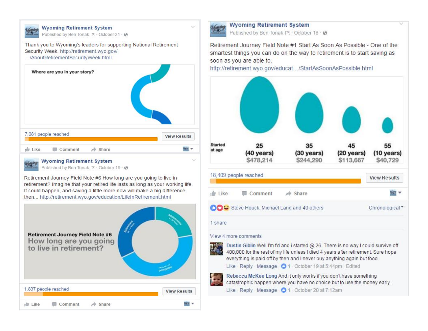



**Wyoming Retirement System** 

Published by Ben Tonak [?] · October 19 · @

Retirement Journey Field Note #6 How long are you going to live in retirement? Imagine that your retired life lasts as long as your working life. It could happen, and saving a little more now will make a big difference then... http://retirement.wyo.gov/education/LifeInRetirement.html





### **Wyoming Retirement System**

Published by Ben Tonak [?] - October 18 - @

Retirement Journey Field Note #1 Start As Soon As Possible - One of the smartest things you can do on the way to retirement is to start saving as soon as you are able to.

o

http://retirement.wyo.gov/educat.../StartAsSoonAsPossible.html



### 18,409 people reached **View Results**  $\frac{1}{2}$  Like Comment  $\Rightarrow$  Share **Mark COD**: Steve Houck, Michael Land and 40 others Chronological \*

1 share

## View 4 more comments



Dustin Giblin Well I'm fd and i started @ 26. There is no way I could survive off 400,000 for the rest of my life unless I died 4 years after retirement. Sure hope everything is paid off by then and I never buy anything again but food.

Like - Reply - Message - @ 1 - October 19 at 5:44pm - Edited

Rebecca McKee Long And it only works if you don't have something catastrophic happen where you have no choice but to use the money early. Like - Reply - Message - 01 - October 20 at 7:12am